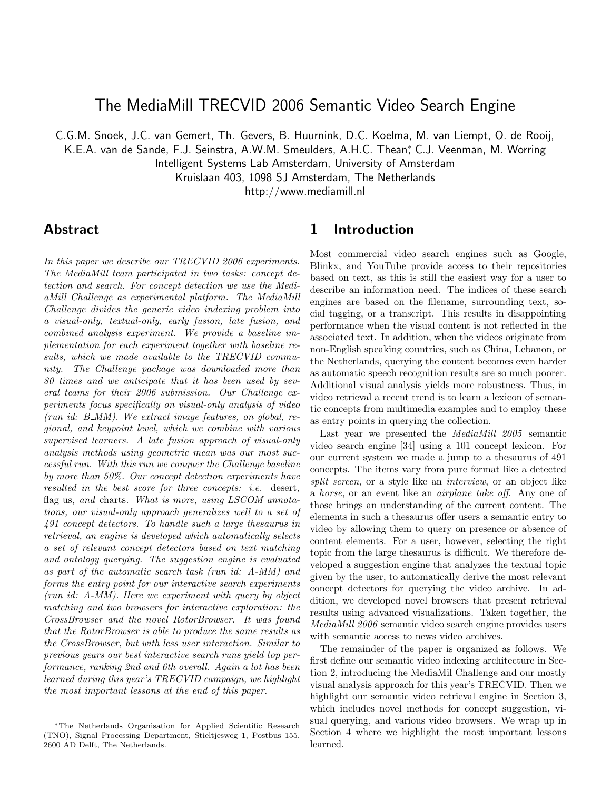# The MediaMill TRECVID 2006 Semantic Video Search Engine

C.G.M. Snoek, J.C. van Gemert, Th. Gevers, B. Huurnink, D.C. Koelma, M. van Liempt, O. de Rooij,

K.E.A. van de Sande, F.J. Seinstra, A.W.M. Smeulders, A.H.C. Thean,\* C.J. Veenman, M. Worring

Intelligent Systems Lab Amsterdam, University of Amsterdam

Kruislaan 403, 1098 SJ Amsterdam, The Netherlands

http://www.mediamill.nl

## Abstract

In this paper we describe our TRECVID 2006 experiments. The MediaMill team participated in two tasks: concept detection and search. For concept detection we use the MediaMill Challenge as experimental platform. The MediaMill Challenge divides the generic video indexing problem into a visual-only, textual-only, early fusion, late fusion, and combined analysis experiment. We provide a baseline implementation for each experiment together with baseline results, which we made available to the TRECVID community. The Challenge package was downloaded more than 80 times and we anticipate that it has been used by several teams for their 2006 submission. Our Challenge experiments focus specifically on visual-only analysis of video (run id: B MM). We extract image features, on global, regional, and keypoint level, which we combine with various supervised learners. A late fusion approach of visual-only analysis methods using geometric mean was our most successful run. With this run we conquer the Challenge baseline by more than 50%. Our concept detection experiments have resulted in the best score for three concepts: i.e. desert, flag us, and charts. What is more, using LSCOM annotations, our visual-only approach generalizes well to a set of 491 concept detectors. To handle such a large thesaurus in retrieval, an engine is developed which automatically selects a set of relevant concept detectors based on text matching and ontology querying. The suggestion engine is evaluated as part of the automatic search task (run id: A-MM) and forms the entry point for our interactive search experiments (run id: A-MM). Here we experiment with query by object matching and two browsers for interactive exploration: the CrossBrowser and the novel RotorBrowser. It was found that the RotorBrowser is able to produce the same results as the CrossBrowser, but with less user interaction. Similar to previous years our best interactive search runs yield top performance, ranking 2nd and 6th overall. Again a lot has been learned during this year's TRECVID campaign, we highlight the most important lessons at the end of this paper.

## 1 Introduction

Most commercial video search engines such as Google, Blinkx, and YouTube provide access to their repositories based on text, as this is still the easiest way for a user to describe an information need. The indices of these search engines are based on the filename, surrounding text, social tagging, or a transcript. This results in disappointing performance when the visual content is not reflected in the associated text. In addition, when the videos originate from non-English speaking countries, such as China, Lebanon, or the Netherlands, querying the content becomes even harder as automatic speech recognition results are so much poorer. Additional visual analysis yields more robustness. Thus, in video retrieval a recent trend is to learn a lexicon of semantic concepts from multimedia examples and to employ these as entry points in querying the collection.

Last year we presented the MediaMill 2005 semantic video search engine [34] using a 101 concept lexicon. For our current system we made a jump to a thesaurus of 491 concepts. The items vary from pure format like a detected split screen, or a style like an *interview*, or an object like a horse, or an event like an airplane take off. Any one of those brings an understanding of the current content. The elements in such a thesaurus offer users a semantic entry to video by allowing them to query on presence or absence of content elements. For a user, however, selecting the right topic from the large thesaurus is difficult. We therefore developed a suggestion engine that analyzes the textual topic given by the user, to automatically derive the most relevant concept detectors for querying the video archive. In addition, we developed novel browsers that present retrieval results using advanced visualizations. Taken together, the MediaMill 2006 semantic video search engine provides users with semantic access to news video archives.

The remainder of the paper is organized as follows. We first define our semantic video indexing architecture in Section 2, introducing the MediaMil Challenge and our mostly visual analysis approach for this year's TRECVID. Then we highlight our semantic video retrieval engine in Section 3, which includes novel methods for concept suggestion, visual querying, and various video browsers. We wrap up in Section 4 where we highlight the most important lessons learned.

<sup>∗</sup>The Netherlands Organisation for Applied Scientific Research (TNO), Signal Processing Department, Stieltjesweg 1, Postbus 155, 2600 AD Delft, The Netherlands.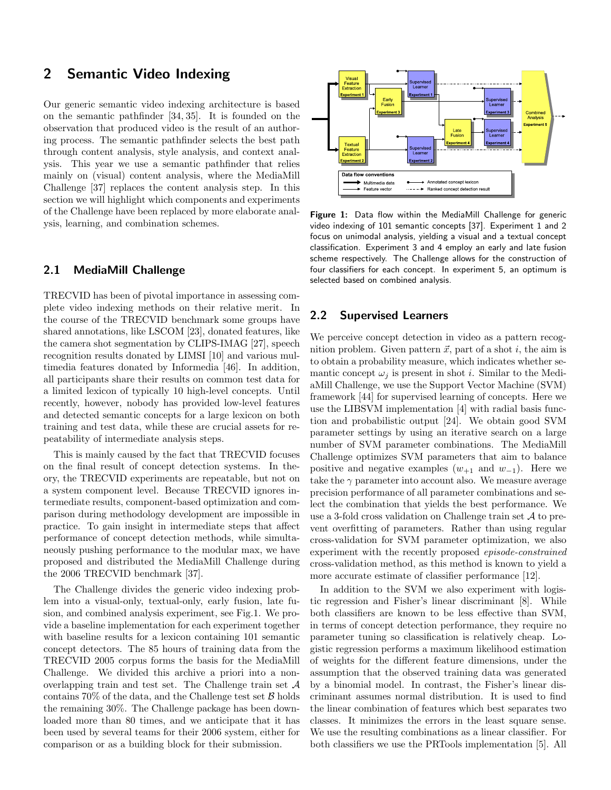## 2 Semantic Video Indexing

Our generic semantic video indexing architecture is based on the semantic pathfinder [34, 35]. It is founded on the observation that produced video is the result of an authoring process. The semantic pathfinder selects the best path through content analysis, style analysis, and context analysis. This year we use a semantic pathfinder that relies mainly on (visual) content analysis, where the MediaMill Challenge [37] replaces the content analysis step. In this section we will highlight which components and experiments of the Challenge have been replaced by more elaborate analysis, learning, and combination schemes.

### 2.1 MediaMill Challenge

TRECVID has been of pivotal importance in assessing complete video indexing methods on their relative merit. In the course of the TRECVID benchmark some groups have shared annotations, like LSCOM [23], donated features, like the camera shot segmentation by CLIPS-IMAG [27], speech recognition results donated by LIMSI [10] and various multimedia features donated by Informedia [46]. In addition, all participants share their results on common test data for a limited lexicon of typically 10 high-level concepts. Until recently, however, nobody has provided low-level features and detected semantic concepts for a large lexicon on both training and test data, while these are crucial assets for repeatability of intermediate analysis steps.

This is mainly caused by the fact that TRECVID focuses on the final result of concept detection systems. In theory, the TRECVID experiments are repeatable, but not on a system component level. Because TRECVID ignores intermediate results, component-based optimization and comparison during methodology development are impossible in practice. To gain insight in intermediate steps that affect performance of concept detection methods, while simultaneously pushing performance to the modular max, we have proposed and distributed the MediaMill Challenge during the 2006 TRECVID benchmark [37].

The Challenge divides the generic video indexing problem into a visual-only, textual-only, early fusion, late fusion, and combined analysis experiment, see Fig.1. We provide a baseline implementation for each experiment together with baseline results for a lexicon containing 101 semantic concept detectors. The 85 hours of training data from the TRECVID 2005 corpus forms the basis for the MediaMill Challenge. We divided this archive a priori into a nonoverlapping train and test set. The Challenge train set A contains  $70\%$  of the data, and the Challenge test set  $\beta$  holds the remaining 30%. The Challenge package has been downloaded more than 80 times, and we anticipate that it has been used by several teams for their 2006 system, either for comparison or as a building block for their submission.



Figure 1: Data flow within the MediaMill Challenge for generic video indexing of 101 semantic concepts [37]. Experiment 1 and 2 focus on unimodal analysis, yielding a visual and a textual concept classification. Experiment 3 and 4 employ an early and late fusion scheme respectively. The Challenge allows for the construction of four classifiers for each concept. In experiment 5, an optimum is selected based on combined analysis.

## 2.2 Supervised Learners

We perceive concept detection in video as a pattern recognition problem. Given pattern  $\vec{x}$ , part of a shot i, the aim is to obtain a probability measure, which indicates whether semantic concept  $\omega_i$  is present in shot *i*. Similar to the MediaMill Challenge, we use the Support Vector Machine (SVM) framework [44] for supervised learning of concepts. Here we use the LIBSVM implementation [4] with radial basis function and probabilistic output [24]. We obtain good SVM parameter settings by using an iterative search on a large number of SVM parameter combinations. The MediaMill Challenge optimizes SVM parameters that aim to balance positive and negative examples  $(w_{+1}$  and  $w_{-1})$ . Here we take the  $\gamma$  parameter into account also. We measure average precision performance of all parameter combinations and select the combination that yields the best performance. We use a 3-fold cross validation on Challenge train set  $A$  to prevent overfitting of parameters. Rather than using regular cross-validation for SVM parameter optimization, we also experiment with the recently proposed episode-constrained cross-validation method, as this method is known to yield a more accurate estimate of classifier performance [12].

In addition to the SVM we also experiment with logistic regression and Fisher's linear discriminant [8]. While both classifiers are known to be less effective than SVM, in terms of concept detection performance, they require no parameter tuning so classification is relatively cheap. Logistic regression performs a maximum likelihood estimation of weights for the different feature dimensions, under the assumption that the observed training data was generated by a binomial model. In contrast, the Fisher's linear discriminant assumes normal distribution. It is used to find the linear combination of features which best separates two classes. It minimizes the errors in the least square sense. We use the resulting combinations as a linear classifier. For both classifiers we use the PRTools implementation [5]. All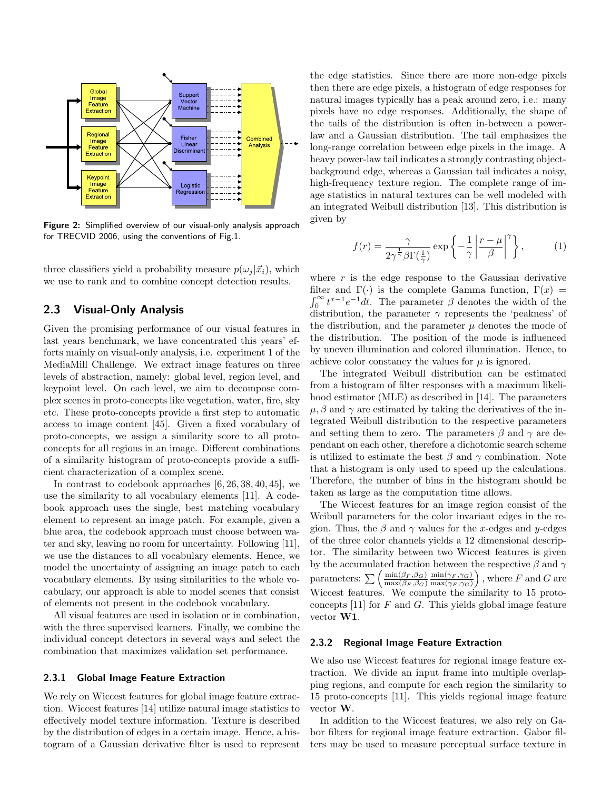

Figure 2: Simplified overview of our visual-only analysis approach for TRECVID 2006, using the conventions of Fig.1.

three classifiers yield a probability measure  $p(\omega_i | \vec{x_i})$ , which we use to rank and to combine concept detection results.

### 2.3 Visual-Only Analysis

Given the promising performance of our visual features in last years benchmark, we have concentrated this years' efforts mainly on visual-only analysis, i.e. experiment 1 of the MediaMill Challenge. We extract image features on three levels of abstraction, namely: global level, region level, and keypoint level. On each level, we aim to decompose complex scenes in proto-concepts like vegetation, water, fire, sky etc. These proto-concepts provide a first step to automatic access to image content [45]. Given a fixed vocabulary of proto-concepts, we assign a similarity score to all protoconcepts for all regions in an image. Different combinations of a similarity histogram of proto-concepts provide a sufficient characterization of a complex scene.

In contrast to codebook approaches [6, 26, 38, 40, 45], we use the similarity to all vocabulary elements [11]. A codebook approach uses the single, best matching vocabulary element to represent an image patch. For example, given a blue area, the codebook approach must choose between water and sky, leaving no room for uncertainty. Following [11], we use the distances to all vocabulary elements. Hence, we model the uncertainty of assigning an image patch to each vocabulary elements. By using similarities to the whole vocabulary, our approach is able to model scenes that consist of elements not present in the codebook vocabulary.

All visual features are used in isolation or in combination, with the three supervised learners. Finally, we combine the individual concept detectors in several ways and select the combination that maximizes validation set performance.

#### 2.3.1 Global Image Feature Extraction

We rely on Wiccest features for global image feature extraction. Wiccest features [14] utilize natural image statistics to effectively model texture information. Texture is described by the distribution of edges in a certain image. Hence, a histogram of a Gaussian derivative filter is used to represent the edge statistics. Since there are more non-edge pixels then there are edge pixels, a histogram of edge responses for natural images typically has a peak around zero, i.e.: many pixels have no edge responses. Additionally, the shape of the tails of the distribution is often in-between a powerlaw and a Gaussian distribution. The tail emphasizes the long-range correlation between edge pixels in the image. A heavy power-law tail indicates a strongly contrasting objectbackground edge, whereas a Gaussian tail indicates a noisy, high-frequency texture region. The complete range of image statistics in natural textures can be well modeled with an integrated Weibull distribution [13]. This distribution is given by

$$
f(r) = \frac{\gamma}{2\gamma^{\frac{1}{\gamma}}\beta\Gamma(\frac{1}{\gamma})} \exp\left\{-\frac{1}{\gamma}\left|\frac{r-\mu}{\beta}\right|^\gamma\right\},\tag{1}
$$

where  $r$  is the edge response to the Gaussian derivative filter and  $\Gamma(\cdot)$  is the complete Gamma function,  $\Gamma(x) = \int_0^\infty t^{x-1} e^{-1} dt$ . The parameter  $\beta$  denotes the width of the distribution, the parameter  $\gamma$  represents the 'peakness' of the distribution, and the parameter  $\mu$  denotes the mode of the distribution. The position of the mode is influenced by uneven illumination and colored illumination. Hence, to achieve color constancy the values for  $\mu$  is ignored.

The integrated Weibull distribution can be estimated from a histogram of filter responses with a maximum likelihood estimator (MLE) as described in [14]. The parameters  $\mu$ ,  $\beta$  and  $\gamma$  are estimated by taking the derivatives of the integrated Weibull distribution to the respective parameters and setting them to zero. The parameters  $\beta$  and  $\gamma$  are dependant on each other, therefore a dichotomic search scheme is utilized to estimate the best  $\beta$  and  $\gamma$  combination. Note that a histogram is only used to speed up the calculations. Therefore, the number of bins in the histogram should be taken as large as the computation time allows.

The Wiccest features for an image region consist of the Weibull parameters for the color invariant edges in the region. Thus, the  $\beta$  and  $\gamma$  values for the x-edges and y-edges of the three color channels yields a 12 dimensional descriptor. The similarity between two Wiccest features is given by the accumulated fraction between the respective  $\beta$  and  $\gamma$ parameters:  $\sum \left( \frac{\min(\beta_F, \beta_G)}{\max(\beta_F, \beta_G)} \right)$  $\max(\beta_F, \beta_G)$  $\min(\gamma_F, \gamma_G)$  $\max(\gamma_F, \gamma_G)$ ), where  $F$  and  $G$  are Wiccest features. We compute the similarity to 15 protoconcepts  $[11]$  for F and G. This yields global image feature vector W1.

#### 2.3.2 Regional Image Feature Extraction

We also use Wiccest features for regional image feature extraction. We divide an input frame into multiple overlapping regions, and compute for each region the similarity to 15 proto-concepts [11]. This yields regional image feature vector W.

In addition to the Wiccest features, we also rely on Gabor filters for regional image feature extraction. Gabor filters may be used to measure perceptual surface texture in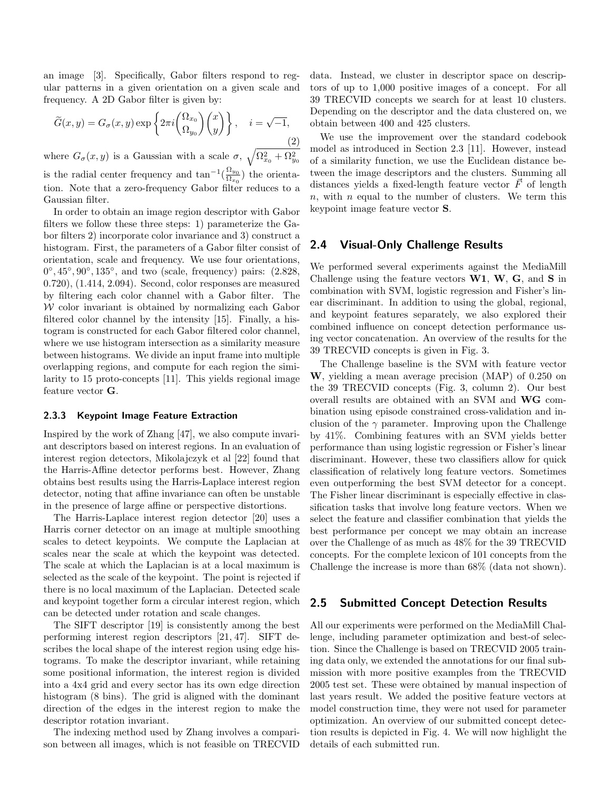an image [3]. Specifically, Gabor filters respond to regular patterns in a given orientation on a given scale and frequency. A 2D Gabor filter is given by:

$$
\widetilde{G}(x,y) = G_{\sigma}(x,y) \exp\left\{2\pi i \begin{pmatrix} \Omega_{x_0} \\ \Omega_{y_0} \end{pmatrix} \begin{pmatrix} x \\ y \end{pmatrix} \right\}, \quad i = \sqrt{-1},
$$
\n(2)

where  $G_{\sigma}(x, y)$  is a Gaussian with a scale  $\sigma$ ,  $\sqrt{\Omega_{x_0}^2 + \Omega_{y_0}^2}$ is the radial center frequency and  $\tan^{-1}(\frac{\Omega_{y_0}}{\Omega_{x_0}})$  $\frac{\Omega_{xy_0}}{\Omega_{x_0}}$  the orientation. Note that a zero-frequency Gabor filter reduces to a Gaussian filter.

In order to obtain an image region descriptor with Gabor filters we follow these three steps: 1) parameterize the Gabor filters 2) incorporate color invariance and 3) construct a histogram. First, the parameters of a Gabor filter consist of orientation, scale and frequency. We use four orientations,  $0^{\circ}, 45^{\circ}, 90^{\circ}, 135^{\circ}$ , and two (scale, frequency) pairs:  $(2.828,$ 0.720), (1.414, 2.094). Second, color responses are measured by filtering each color channel with a Gabor filter. The W color invariant is obtained by normalizing each Gabor filtered color channel by the intensity [15]. Finally, a histogram is constructed for each Gabor filtered color channel, where we use histogram intersection as a similarity measure between histograms. We divide an input frame into multiple overlapping regions, and compute for each region the similarity to 15 proto-concepts [11]. This yields regional image feature vector G.

#### 2.3.3 Keypoint Image Feature Extraction

Inspired by the work of Zhang [47], we also compute invariant descriptors based on interest regions. In an evaluation of interest region detectors, Mikolajczyk et al [22] found that the Harris-Affine detector performs best. However, Zhang obtains best results using the Harris-Laplace interest region detector, noting that affine invariance can often be unstable in the presence of large affine or perspective distortions.

The Harris-Laplace interest region detector [20] uses a Harris corner detector on an image at multiple smoothing scales to detect keypoints. We compute the Laplacian at scales near the scale at which the keypoint was detected. The scale at which the Laplacian is at a local maximum is selected as the scale of the keypoint. The point is rejected if there is no local maximum of the Laplacian. Detected scale and keypoint together form a circular interest region, which can be detected under rotation and scale changes.

The SIFT descriptor [19] is consistently among the best performing interest region descriptors [21, 47]. SIFT describes the local shape of the interest region using edge histograms. To make the descriptor invariant, while retaining some positional information, the interest region is divided into a 4x4 grid and every sector has its own edge direction histogram  $(8 \text{ bins})$ . The grid is aligned with the dominant direction of the edges in the interest region to make the descriptor rotation invariant.

The indexing method used by Zhang involves a comparison between all images, which is not feasible on TRECVID data. Instead, we cluster in descriptor space on descriptors of up to 1,000 positive images of a concept. For all 39 TRECVID concepts we search for at least 10 clusters. Depending on the descriptor and the data clustered on, we obtain between 400 and 425 clusters.

We use the improvement over the standard codebook model as introduced in Section 2.3 [11]. However, instead of a similarity function, we use the Euclidean distance between the image descriptors and the clusters. Summing all distances yields a fixed-length feature vector  $\vec{F}$  of length  $n$ , with  $n$  equal to the number of clusters. We term this keypoint image feature vector S.

### 2.4 Visual-Only Challenge Results

We performed several experiments against the MediaMill Challenge using the feature vectors  $W1$ ,  $W$ ,  $G$ , and  $S$  in combination with SVM, logistic regression and Fisher's linear discriminant. In addition to using the global, regional, and keypoint features separately, we also explored their combined influence on concept detection performance using vector concatenation. An overview of the results for the 39 TRECVID concepts is given in Fig. 3.

The Challenge baseline is the SVM with feature vector W, yielding a mean average precision (MAP) of 0.250 on the 39 TRECVID concepts (Fig. 3, column 2). Our best overall results are obtained with an SVM and WG combination using episode constrained cross-validation and inclusion of the  $\gamma$  parameter. Improving upon the Challenge by 41%. Combining features with an SVM yields better performance than using logistic regression or Fisher's linear discriminant. However, these two classifiers allow for quick classification of relatively long feature vectors. Sometimes even outperforming the best SVM detector for a concept. The Fisher linear discriminant is especially effective in classification tasks that involve long feature vectors. When we select the feature and classifier combination that yields the best performance per concept we may obtain an increase over the Challenge of as much as 48% for the 39 TRECVID concepts. For the complete lexicon of 101 concepts from the Challenge the increase is more than 68% (data not shown).

### 2.5 Submitted Concept Detection Results

All our experiments were performed on the MediaMill Challenge, including parameter optimization and best-of selection. Since the Challenge is based on TRECVID 2005 training data only, we extended the annotations for our final submission with more positive examples from the TRECVID 2005 test set. These were obtained by manual inspection of last years result. We added the positive feature vectors at model construction time, they were not used for parameter optimization. An overview of our submitted concept detection results is depicted in Fig. 4. We will now highlight the details of each submitted run.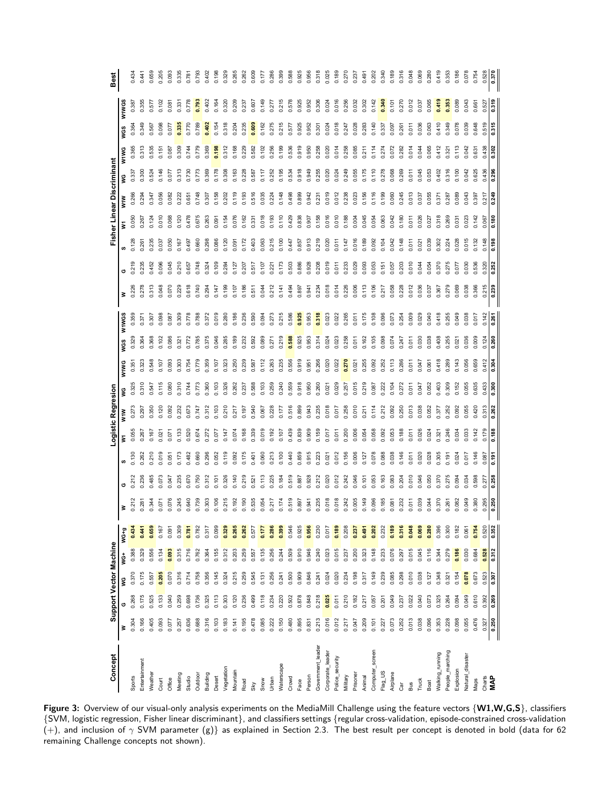| Concept           |       |       | Support Vector Machine |        |        |       |       |       | Logistic Regresion |       |       |       |                |                     |       |       |              |       | Fisher Linear Discriminant |       |       |                |                     | Best  |
|-------------------|-------|-------|------------------------|--------|--------|-------|-------|-------|--------------------|-------|-------|-------|----------------|---------------------|-------|-------|--------------|-------|----------------------------|-------|-------|----------------|---------------------|-------|
|                   | ₿     |       | š                      | t<br>S | $WG+g$ | ≩     |       |       | ξ                  | WIW   | Ş     | W1WG  | wgs            | W1WGS               | ₹     | O     | ဖာ           |       | <b>WIW</b>                 | Š     | WIWG  | W1WGS<br>WGS   |                     |       |
| Sports            | 0.304 | 0.268 | 0.370                  | 0.388  | 0434   | 0.212 | 0.212 | 0.130 | 0.055              | 0.273 | 0.325 | 0.351 | 0.329          | 0.359               | 0.226 | 0.219 | 0.128        | 0.050 | 0.266                      | 0.337 | 0.365 | 0.364          | 0.387               | 0.434 |
| Entertainment     | 0.166 | 0.175 | 0.175                  | 0.329  | 0441   | 0.281 | 0.236 | 0.262 | 0.267              | 0.297 | 0.310 | 0.323 |                | $0.37$ <sup>-</sup> | 0.278 | 0.235 | 0.261        | 0.267 | 0.294                      | 300   | 0.313 | 0.349          |                     | 0.441 |
| Weather           | 0.405 | 0.525 | 0.557                  | 0.556  | 0.659  | 0.344 | 0.485 | 0.210 | 0.167              | 0.350 | 0.547 | 0.548 | 0.368          | 0.307               | 0.313 | 0.452 | 0.235        | 0.124 | 0.347                      | 0.524 | 0.535 | 0.567          | 0.57                | 0.659 |
| Court             | 0.093 | 0.133 | 0.205                  | 0.134  | 0.167  | 0.071 | 0.073 | 0.019 | $0.02^{\circ}$     | 0.120 | 0.115 | 0.107 | 0.102          | 0.098               | 0.048 | 0.096 | 0.037        | 0.010 | 0.056                      | 0.146 | 0.157 | 0.098          | 0.102               | 0.205 |
| Office            | 0.077 | 0.040 | 0.070                  | 0.093  | 0.097  | 0.076 | 0.047 | 0.05  | 0.07               | 0.092 | 0.080 | 0.093 | 0.086          | 0.087               | 0.070 | 0.045 | 0.050        | 0.068 | 0.082                      | 0.07  | 0.087 | 0.077          | 0.087               | 0.093 |
| Meeting           | 0.257 | 0.259 | 0.316                  | 0.315  | 0.309  | 0.245 | 0.235 | 0.173 | 2,133              | 0.232 | 0.310 | 0.303 | $32^{\degree}$ | 0.309               | 0.229 | 0.210 | 0.167        | 0.120 | 0.222                      | 0.313 | 0.309 | 0.335          | $0.33$ <sup>-</sup> | 0.335 |
| Studio            | 0.636 | 0.698 | 0.714                  | 0.716  | 0.781  | 0.640 | 0.670 | 0.482 | 0.520              | 0.673 | 0.744 | 0.754 | 0.772          | 0.778               | 0.618 | 0.657 | 0.497        | 0.478 | 0.651                      | 0.730 | 0.744 | 0.770          | 0.778               | 0.781 |
| Outdoor           | 0.688 | 0.736 | 0.758                  | 0.762  | 0.782  | 0.739 | 0921  | 0.660 | 0.674              | 0.747 | 0.773 | 0.779 | 0.785          | 0.788               | 0.740 | 0.748 | 0.660        | 0.675 | 0.748                      | 0.773 | 0.779 | 0.789          | 0.79                | 0.793 |
| Building          | 0.316 | 0.325 | 0.356                  | 0.364  | 0.317  | 0.303 | .312  | 0.296 | 272                | 0.312 | 0.360 | 0.359 | 0.375          | 0.372               | 0.294 | 0.324 | 0.298        | 0.263 | 0.307                      | 0.369 | 0.369 | 0.402          | 0.402               | 0.402 |
| Desert            | 0.103 | 0.113 | 0.145                  | 0.155  | 0.099  | 0.106 | 2,107 | 0.052 | 0.077              | 0.103 | 0.103 | 0.107 | 0.046          | 0.019               | 0.147 | 0.109 | 0.086        | 0.091 | 0.158                      | 0.178 | 0.198 | 0.154          | 0.164               | 0.198 |
| Vegetation        | 0.183 | 0.303 | 0.324                  | 0.312  | 0.329  | 0.215 | 0.326 | 0.119 | 0.147              | 0.210 | 0.326 | 0.323 | 0.285          | 0.280               | 0.199 | 0.284 | 0.120        | 0.154 | 0.202                      | 0.308 | 0.312 | 0.318          | 0.320               | 0.329 |
| Mountain          | 0.141 | 0.120 | 0.215                  | 0.203  | 0.265  | 0.192 | 0.140 | 0.092 | 0.074              | 0.217 | 0.262 | 0.250 | 0.189          | 0.186               | 0.107 | 0.127 | 0.091        | 0.076 | 0.119                      | 0.163 | 0.168 | 0.204          | 0.209               | 0.265 |
| Road              | 0.195 | 0.236 | 0.259                  | 0.259  | 0.262  | 0.190 | 0.219 | 0.175 | 0.168              | 0.197 | 0.237 | 0.239 | 0.232          | 0.236               | 0.186 | 0.207 | 0.172        | 0.162 | 0.193                      | 0.228 | 0.229 | 0.235          | 0.237               | 0.262 |
| Sky               | 0.478 | 0.499 | 0.545                  | 0.557  | 0.577  | 0.535 | 0.521 | 0.401 | 0.339              | 0.540 | 0.588 | 0.587 | 0.592          | 0.590               | 0.511 | 0.517 | 0.403        | 0.331 | 0.516                      | 0.587 | 0.582 | 0.609          | 0.607               | 0.609 |
| Snow              | 0.085 | 0.118 | 0.131                  | 0.135  | 777    | 0.054 | 2113  | 0.060 | 0.019              | 0.067 | 0.103 | 0.112 | 0.089          | 0.094               | 0.044 | 0.107 | 0.063        | 0.018 | 0.035                      | 0.117 | 0.102 | 0.162          | 0.149               | 0.177 |
| Urban             | 0.222 | 0.234 | 0.256                  | 0.256  | 0.286  | 0.217 | 0.225 | 0.213 | 0.192              | 0.228 | 0.259 | 0.263 | 0.27           | 0.273               | 0.212 | 0.221 | 0.215        | 0.193 | 0.224                      | 0.252 | 0.256 | 0.275          | 0.27                | 0.286 |
| Waterscape        | 0.150 | 0.220 | 0.241                  | 0.244  | 0.399  | 0.174 | 0.184 | 0.100 | 0.107              | 0.177 | 0.240 | 0.235 | 0.219          | 0.215               | 0.141 | 0.173 | 0.100        | 0.110 | 0.148                      | 0.195 | 0.199 | 0.215          | 0.215               | 0.399 |
| Crowd             | 0.480 | 0.502 | 0.500                  | 0.509  | 0.546  | 0.519 | 0.519 | 0.440 | 0.439              | 0.516 | 0.559 | 0.556 | 0.588          | 0.586               | 0.494 | 0.503 | 0.447        | 0.429 | 0.498                      | 0.534 | 0.536 | 0.577          | 0.578               | 0.588 |
| Face              | 0.895 | 0.878 | 0.909                  | 0.910  | 0.925  | 0.897 | 0.887 | 0.859 | 0.839              | 0.899 | 0.918 | 0.919 | 0.925          | 0.925               | 0.897 | 0.886 | 0.857        | 0.838 | 0.899                      | 0.918 | 0.919 | 0.925          | 0.925               | 0.925 |
| Person            | 0.831 | 0.848 | 0.846                  | 0.946  | 0.956  | 0.941 | 0.928 | 0.915 | 0.909              | 0.943 | 0.950 | 0.951 | 0.953          | 0.953               | 0.941 | 0.928 | 0.913        | 0.907 | 0.942                      | 0.949 | 0.950 | 0.952          | 0.952               | 0.956 |
| Government_leader | 0.213 | 0.218 | 0.241                  | 0.240  | 0.230  | 0.235 | 0.212 | 0.223 | 0.159              | 0.235 | 0.260 | 0.266 | 0.314          | 0.318               | 0.234 | 0.208 | 0.219        | 0.158 | 0.231                      | 0.255 | 0.258 | 0.301          | 0.306               | 0.318 |
| Corporate_leader  | 0.016 | 0.025 | 0.024                  | 0.023  | 0.017  | 0.018 | 0.020 | 0.021 | 0.017              | 0.018 | 0.021 | 0.020 | 0.024          | 0.023               | 0.018 | 0.019 | 0.020        | 0.016 | 0.019                      | 0.020 | 0.020 | 0.024          | 0.024               | 0.025 |
| Police_security   | 0.012 | 0.011 | 0.020                  | 0.015  | 0.189  | 0.018 | 0.012 | 0.012 | $-0.01$            | 0.017 | 0.029 | 0.022 | 0.023          | 0.022               | 0.014 | 0.011 | 0.011        | 0.010 | 0.012                      | 0.024 | 0.014 | 0.018          | 0.016               | 0.189 |
| Military          | 0.217 | 0.210 | 0.234                  | 0.237  | 0.208  | 0.242 | 0.242 | 0.156 | 0.200              | 0.258 | 0.257 | 0.270 | 0.258          | 0.265               | 0.226 | 0.233 | 0.147        | 0.188 | 0.238                      | 0.249 | 0.258 | 0.247          | 0.256               | 0.270 |
| Prisoner          | 0.047 | 0.182 | 0.198                  | 0.200  | 0.237  | 0.005 | 0.046 | 0.006 | 0.006              | 0.010 | 0.015 | 0.021 | 0.011          | 0.011               | 0.006 | 0.029 | 0.016        | 0.004 | 0.023                      | 0.055 | 0.085 | 0.028          | 0.032               | 0.237 |
| Animal            | 0.209 | 0.217 | 0.317                  | 0.323  | 0491   | 0.149 | 0.101 | 0.127 | 0.054              | 0.211 | 0.219 | 0.255 | 0.162          | 0.175               | 0.113 | 0.093 | 0.189        | 0.045 | 0.156                      | 0.175 | 0.211 | 0.283          | 0.302               | 0.491 |
| Computer_screen   | 0.101 | 0.057 | 0.149                  | 0.148  | 0.202  | 0.096 | 0.053 | 0.078 | 0.058              | 0.114 | 0.087 | 0.092 | 0.105          | 0.108               | 0.106 | 0.053 | 0.092        | 0.054 | 0.116                      | 0.110 | 0.114 | 0.140          | 0.142               | 0.202 |
| Flag_US           | 0.227 | 0.201 | 0.239                  | 0.233  | 0.232  | 0.185 | 0.163 | 0.088 | 0.092              | 0.212 | 0.222 | 0.252 | 0.098          | 0.096               | 0.217 | 0.157 | <b>2.104</b> | 0.063 | 0.199                      | 0.278 | 0.274 | 0.337          | 0.340               | 0.340 |
| Airplane          | 0.073 | 0.049 | 0.085                  | 0.076  | 0.189  | 0.081 | 0.083 | 0.038 | 0.053              | 0.092 | 0.104 | 0.113 | 0.074          | 0.073               | 0.058 | 0.057 | 0.042        | 0.042 | 0.060                      | 0.068 | 0.072 | 0.097          | 0.101               | 0.189 |
| Car               | 0.252 | 0.237 | 0.298                  | 0.297  | 0.316  | 0.232 | 0.204 | 0.146 | 0.188              | 0.250 | 0.272 | 0.286 | .247           | 0.254               | 0.228 | 0.203 | 0.148        | 0.180 | 0.245                      | 0.269 | 0.282 | $0.26^{\circ}$ | 0.270               | 0.316 |
| Bus               | 0.013 | 0.022 | 0.010                  | 0.015  | 0.048  | 0.011 | 0.010 | 0.011 | 2.011              | 0.013 | 0.011 | 0.011 | $\frac{1}{2}$  | 0.009               | 0.012 | 0.010 | 0.011        | 0.011 | 0.013                      | 0.011 | 0.014 | 0.011          | 0.012               | 0.048 |
| Truck             | 0.038 | 0.040 | 0.038                  | 0.045  | 0.069  | 0.039 | 046   | 0.020 | 0.026              | 0.038 | 0.047 | 0.047 | 030            | 0.029               | 0.036 | 0.044 | 0.021        | 0.026 | 037                        | 0.045 | 0.044 | 0.036          | 0.037               | 0.069 |
| Boat              | 0.096 | 0.073 | 0.127                  | 0.116  | 0.280  | 0.044 | 0.050 | 0.028 | 0.024              | 0.052 | 0.052 | 0.061 | 0.038          | 0.040               | 0.037 | 0.054 | 0.039        | 0.027 | 0.055                      | 0.053 | 0.065 | 0.063          | 0.065               | 0.280 |
| Walking_running   | 0.353 | 0.325 | 0.348                  | 0.344  | 0.396  | 0.370 | 0.370 | 0.305 | $32^{\degree}$     | 0.377 | 0.403 | 0.418 | 0.408          | 0.418               | 0.367 | 0.370 | 0.302        | 0.318 | $0.37$ <sup>-</sup>        | 0.402 | 3.412 | 0.410          | 0.419               | 0.419 |
| People_marching   | 0.228 | 0.264 | 0.321                  | 0.279  | 0.300  | 0.261 | 0.275 | 0.19  | 0.246              | 0.252 | 0.309 | 0.289 | 0.255          | 0.255               | 0.279 | 0.275 | 0.224        | 0.269 | 28                         | 0.316 | 0.32  | 0.349          | 0.353               | 0.353 |
| Explosion         | 0.098 | 0.094 | 0.154                  | 0.186  | 0.182  | 0.082 | 0.094 | 0.024 | 0.034              | 0.092 | 0.152 | 0.143 | $202^{\circ}$  | 0.049               | 0.069 | 0.077 | 0.028        | 0.031 | 0.089                      | 0.100 | 0.113 | 0.078          | 0.089               | 0.186 |
| Natural_disaster  | 0.055 | 0.049 | 0.078                  | 0.030  | 0.061  | 0.049 | 0.034 | 0.017 | 0.033              | 0.055 | 0.055 | 0.056 | 0.036          | 0.038               | 0.038 | 0.030 | 0.015        | 0.023 | 0.043                      | 0.042 | 0.042 | 0.039          | 0.043               | 0.078 |
| Maps              | 0.476 | 0.610 | 0.673                  | 0.684  | 0.754  | 0.380 | 0.598 | 0.146 | 142                | 0.420 | 0.635 | 0.659 | 0.009          | 0.017               | 0.366 | 0.536 | 0.132        | 0.142 | 0.397                      | 0.625 | 0.631 | 0.648          | 0.66 <sup>2</sup>   | 0.754 |
| Charts            | 0.327 | 0.392 | 0.523                  | 0.528  | 0.520  | 0.295 | 0.277 | 0.087 | 0.179              | 0.313 | 0.433 | 0.412 | 0.124          | 0.142               | 0.215 | 0.320 | 0.148        | 0.067 | 0.217                      | 0.436 | 0.438 | 0.519          | 0.527               | 0.528 |
| MAP               | 0.250 | 0.269 | 0.307                  | 0.312  | 0.352  | 0.250 | 0.258 | 0.191 | 0.188              | 0.262 | 0.300 | 0.304 | 0.260          | 0.261               | 0.239 | 0.252 | 0.198        | 0.180 | 0.249                      | 0.296 | 0.302 | 0.315          | 0.319               | 0.370 |
|                   |       |       |                        |        |        |       |       |       |                    |       |       |       |                |                     |       |       |              |       |                            |       |       |                |                     |       |

Figure 3: Overview of our visual-only analysis experiments on the MediaMill Challenge using the feature vectors  $\{W1, W, G, S\}$ , classifiers {SVM, logistic regression, Fisher linear discriminant}, and classifiers settings {regular cross-validation, episode-constrained cross-validation (+), and inclusion of  $\gamma$  SVM parameter (g)} as explained in Section 2.3. The best result per concept is denoted in bold (data for 62 remaining Challenge concepts not shown).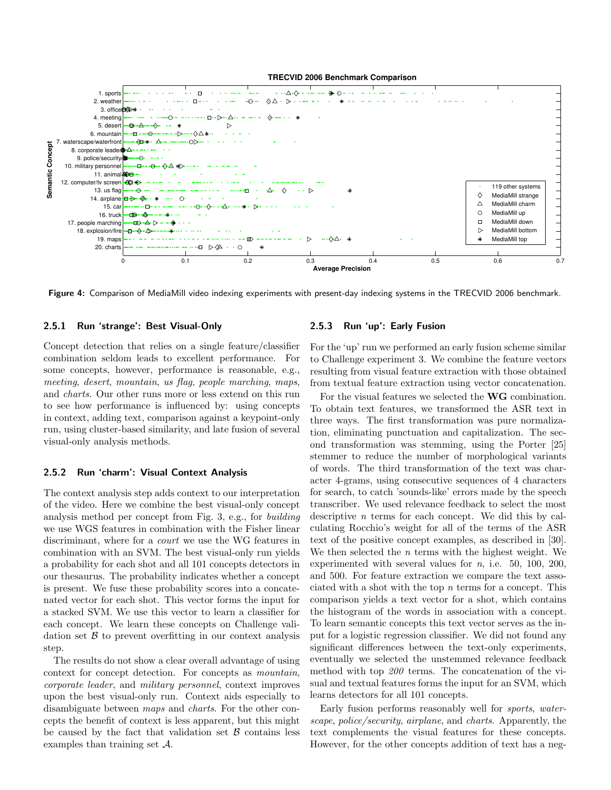



Figure 4: Comparison of MediaMill video indexing experiments with present-day indexing systems in the TRECVID 2006 benchmark.

#### 2.5.1 Run 'strange': Best Visual-Only

Concept detection that relies on a single feature/classifier combination seldom leads to excellent performance. For some concepts, however, performance is reasonable, e.g., meeting, desert, mountain, us flag, people marching, maps, and charts. Our other runs more or less extend on this run to see how performance is influenced by: using concepts in context, adding text, comparison against a keypoint-only run, using cluster-based similarity, and late fusion of several visual-only analysis methods.

#### 2.5.2 Run 'charm': Visual Context Analysis

The context analysis step adds context to our interpretation of the video. Here we combine the best visual-only concept analysis method per concept from Fig. 3, e.g., for building we use WGS features in combination with the Fisher linear discriminant, where for a *court* we use the WG features in combination with an SVM. The best visual-only run yields a probability for each shot and all 101 concepts detectors in our thesaurus. The probability indicates whether a concept is present. We fuse these probability scores into a concatenated vector for each shot. This vector forms the input for a stacked SVM. We use this vector to learn a classifier for each concept. We learn these concepts on Challenge validation set  $\beta$  to prevent overfitting in our context analysis step.

The results do not show a clear overall advantage of using context for concept detection. For concepts as mountain, corporate leader, and military personnel, context improves upon the best visual-only run. Context aids especially to disambiguate between maps and charts. For the other concepts the benefit of context is less apparent, but this might be caused by the fact that validation set  $\beta$  contains less examples than training set A.

#### 2.5.3 Run 'up': Early Fusion

For the 'up' run we performed an early fusion scheme similar to Challenge experiment 3. We combine the feature vectors resulting from visual feature extraction with those obtained from textual feature extraction using vector concatenation.

For the visual features we selected the **WG** combination. To obtain text features, we transformed the ASR text in three ways. The first transformation was pure normalization, eliminating punctuation and capitalization. The second transformation was stemming, using the Porter [25] stemmer to reduce the number of morphological variants of words. The third transformation of the text was character 4-grams, using consecutive sequences of 4 characters for search, to catch 'sounds-like' errors made by the speech transcriber. We used relevance feedback to select the most descriptive  $n$  terms for each concept. We did this by calculating Rocchio's weight for all of the terms of the ASR text of the positive concept examples, as described in [30]. We then selected the n terms with the highest weight. We experimented with several values for  $n$ , i.e. 50, 100, 200, and 500. For feature extraction we compare the text associated with a shot with the top  $n$  terms for a concept. This comparison yields a text vector for a shot, which contains the histogram of the words in association with a concept. To learn semantic concepts this text vector serves as the input for a logistic regression classifier. We did not found any significant differences between the text-only experiments, eventually we selected the unstemmed relevance feedback method with top 200 terms. The concatenation of the visual and textual features forms the input for an SVM, which learns detectors for all 101 concepts.

Early fusion performs reasonably well for sports, waterscape, police/security, airplane, and charts. Apparently, the text complements the visual features for these concepts. However, for the other concepts addition of text has a neg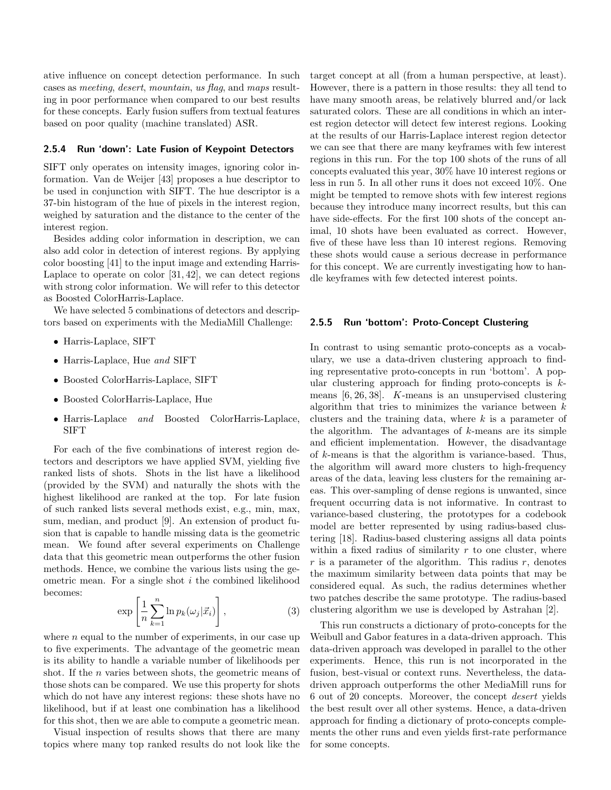ative influence on concept detection performance. In such cases as meeting, desert, mountain, us flag, and maps resulting in poor performance when compared to our best results for these concepts. Early fusion suffers from textual features based on poor quality (machine translated) ASR.

#### 2.5.4 Run 'down': Late Fusion of Keypoint Detectors

SIFT only operates on intensity images, ignoring color information. Van de Weijer [43] proposes a hue descriptor to be used in conjunction with SIFT. The hue descriptor is a 37-bin histogram of the hue of pixels in the interest region, weighed by saturation and the distance to the center of the interest region.

Besides adding color information in description, we can also add color in detection of interest regions. By applying color boosting [41] to the input image and extending Harris-Laplace to operate on color  $[31, 42]$ , we can detect regions with strong color information. We will refer to this detector as Boosted ColorHarris-Laplace.

We have selected 5 combinations of detectors and descriptors based on experiments with the MediaMill Challenge:

- Harris-Laplace, SIFT
- Harris-Laplace, Hue and SIFT
- Boosted ColorHarris-Laplace, SIFT
- Boosted ColorHarris-Laplace, Hue
- Harris-Laplace and Boosted ColorHarris-Laplace, SIFT

For each of the five combinations of interest region detectors and descriptors we have applied SVM, yielding five ranked lists of shots. Shots in the list have a likelihood (provided by the SVM) and naturally the shots with the highest likelihood are ranked at the top. For late fusion of such ranked lists several methods exist, e.g., min, max, sum, median, and product [9]. An extension of product fusion that is capable to handle missing data is the geometric mean. We found after several experiments on Challenge data that this geometric mean outperforms the other fusion methods. Hence, we combine the various lists using the geometric mean. For a single shot  $i$  the combined likelihood becomes:

$$
\exp\left[\frac{1}{n}\sum_{k=1}^{n}\ln p_{k}(\omega_{j}|\vec{x}_{i})\right],
$$
\n(3)

where  $n$  equal to the number of experiments, in our case up to five experiments. The advantage of the geometric mean is its ability to handle a variable number of likelihoods per shot. If the n varies between shots, the geometric means of those shots can be compared. We use this property for shots which do not have any interest regions: these shots have no likelihood, but if at least one combination has a likelihood for this shot, then we are able to compute a geometric mean.

Visual inspection of results shows that there are many topics where many top ranked results do not look like the target concept at all (from a human perspective, at least). However, there is a pattern in those results: they all tend to have many smooth areas, be relatively blurred and/or lack saturated colors. These are all conditions in which an interest region detector will detect few interest regions. Looking at the results of our Harris-Laplace interest region detector we can see that there are many keyframes with few interest regions in this run. For the top 100 shots of the runs of all concepts evaluated this year, 30% have 10 interest regions or less in run 5. In all other runs it does not exceed 10%. One might be tempted to remove shots with few interest regions because they introduce many incorrect results, but this can have side-effects. For the first 100 shots of the concept animal, 10 shots have been evaluated as correct. However, five of these have less than 10 interest regions. Removing these shots would cause a serious decrease in performance for this concept. We are currently investigating how to handle keyframes with few detected interest points.

#### 2.5.5 Run 'bottom': Proto-Concept Clustering

In contrast to using semantic proto-concepts as a vocabulary, we use a data-driven clustering approach to finding representative proto-concepts in run 'bottom'. A popular clustering approach for finding proto-concepts is  $k$ means [6, 26, 38]. K-means is an unsupervised clustering algorithm that tries to minimizes the variance between  $k$ clusters and the training data, where  $k$  is a parameter of the algorithm. The advantages of  $k$ -means are its simple and efficient implementation. However, the disadvantage of k-means is that the algorithm is variance-based. Thus, the algorithm will award more clusters to high-frequency areas of the data, leaving less clusters for the remaining areas. This over-sampling of dense regions is unwanted, since frequent occurring data is not informative. In contrast to variance-based clustering, the prototypes for a codebook model are better represented by using radius-based clustering [18]. Radius-based clustering assigns all data points within a fixed radius of similarity  $r$  to one cluster, where  $r$  is a parameter of the algorithm. This radius  $r$ , denotes the maximum similarity between data points that may be considered equal. As such, the radius determines whether two patches describe the same prototype. The radius-based clustering algorithm we use is developed by Astrahan [2].

This run constructs a dictionary of proto-concepts for the Weibull and Gabor features in a data-driven approach. This data-driven approach was developed in parallel to the other experiments. Hence, this run is not incorporated in the fusion, best-visual or context runs. Nevertheless, the datadriven approach outperforms the other MediaMill runs for 6 out of 20 concepts. Moreover, the concept desert yields the best result over all other systems. Hence, a data-driven approach for finding a dictionary of proto-concepts complements the other runs and even yields first-rate performance for some concepts.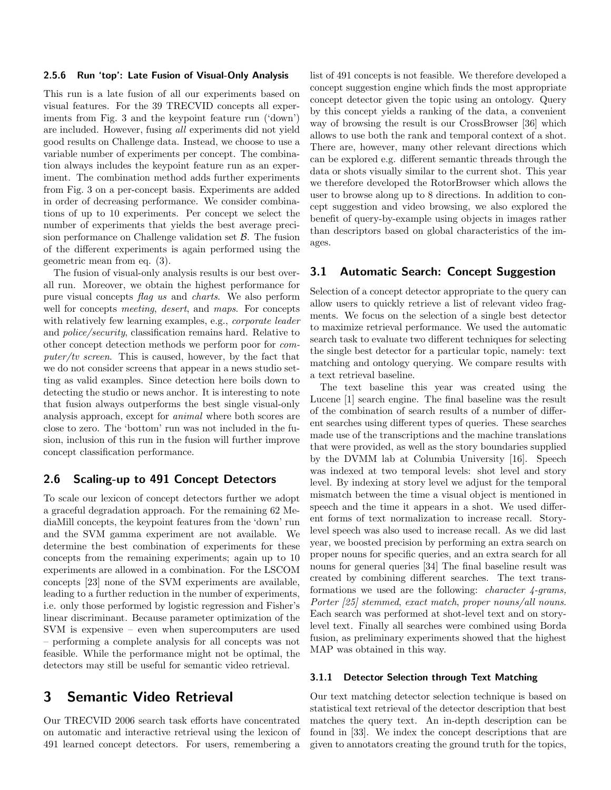#### 2.5.6 Run 'top': Late Fusion of Visual-Only Analysis

This run is a late fusion of all our experiments based on visual features. For the 39 TRECVID concepts all experiments from Fig. 3 and the keypoint feature run ('down') are included. However, fusing all experiments did not yield good results on Challenge data. Instead, we choose to use a variable number of experiments per concept. The combination always includes the keypoint feature run as an experiment. The combination method adds further experiments from Fig. 3 on a per-concept basis. Experiments are added in order of decreasing performance. We consider combinations of up to 10 experiments. Per concept we select the number of experiments that yields the best average precision performance on Challenge validation set  $\beta$ . The fusion of the different experiments is again performed using the geometric mean from eq. (3).

The fusion of visual-only analysis results is our best overall run. Moreover, we obtain the highest performance for pure visual concepts flag us and charts. We also perform well for concepts *meeting*, *desert*, and *maps*. For concepts with relatively few learning examples, e.g., *corporate leader* and police/security, classification remains hard. Relative to other concept detection methods we perform poor for computer/tv screen. This is caused, however, by the fact that we do not consider screens that appear in a news studio setting as valid examples. Since detection here boils down to detecting the studio or news anchor. It is interesting to note that fusion always outperforms the best single visual-only analysis approach, except for animal where both scores are close to zero. The 'bottom' run was not included in the fusion, inclusion of this run in the fusion will further improve concept classification performance.

### 2.6 Scaling-up to 491 Concept Detectors

To scale our lexicon of concept detectors further we adopt a graceful degradation approach. For the remaining 62 MediaMill concepts, the keypoint features from the 'down' run and the SVM gamma experiment are not available. We determine the best combination of experiments for these concepts from the remaining experiments; again up to 10 experiments are allowed in a combination. For the LSCOM concepts [23] none of the SVM experiments are available, leading to a further reduction in the number of experiments, i.e. only those performed by logistic regression and Fisher's linear discriminant. Because parameter optimization of the SVM is expensive – even when supercomputers are used – performing a complete analysis for all concepts was not feasible. While the performance might not be optimal, the detectors may still be useful for semantic video retrieval.

## 3 Semantic Video Retrieval

Our TRECVID 2006 search task efforts have concentrated on automatic and interactive retrieval using the lexicon of 491 learned concept detectors. For users, remembering a

list of 491 concepts is not feasible. We therefore developed a concept suggestion engine which finds the most appropriate concept detector given the topic using an ontology. Query by this concept yields a ranking of the data, a convenient way of browsing the result is our CrossBrowser [36] which allows to use both the rank and temporal context of a shot. There are, however, many other relevant directions which can be explored e.g. different semantic threads through the data or shots visually similar to the current shot. This year we therefore developed the RotorBrowser which allows the user to browse along up to 8 directions. In addition to concept suggestion and video browsing, we also explored the benefit of query-by-example using objects in images rather than descriptors based on global characteristics of the images.

### 3.1 Automatic Search: Concept Suggestion

Selection of a concept detector appropriate to the query can allow users to quickly retrieve a list of relevant video fragments. We focus on the selection of a single best detector to maximize retrieval performance. We used the automatic search task to evaluate two different techniques for selecting the single best detector for a particular topic, namely: text matching and ontology querying. We compare results with a text retrieval baseline.

The text baseline this year was created using the Lucene [1] search engine. The final baseline was the result of the combination of search results of a number of different searches using different types of queries. These searches made use of the transcriptions and the machine translations that were provided, as well as the story boundaries supplied by the DVMM lab at Columbia University [16]. Speech was indexed at two temporal levels: shot level and story level. By indexing at story level we adjust for the temporal mismatch between the time a visual object is mentioned in speech and the time it appears in a shot. We used different forms of text normalization to increase recall. Storylevel speech was also used to increase recall. As we did last year, we boosted precision by performing an extra search on proper nouns for specific queries, and an extra search for all nouns for general queries [34] The final baseline result was created by combining different searches. The text transformations we used are the following: *character 4-grams*, Porter [25] stemmed, exact match, proper nouns/all nouns. Each search was performed at shot-level text and on storylevel text. Finally all searches were combined using Borda fusion, as preliminary experiments showed that the highest MAP was obtained in this way.

#### 3.1.1 Detector Selection through Text Matching

Our text matching detector selection technique is based on statistical text retrieval of the detector description that best matches the query text. An in-depth description can be found in [33]. We index the concept descriptions that are given to annotators creating the ground truth for the topics,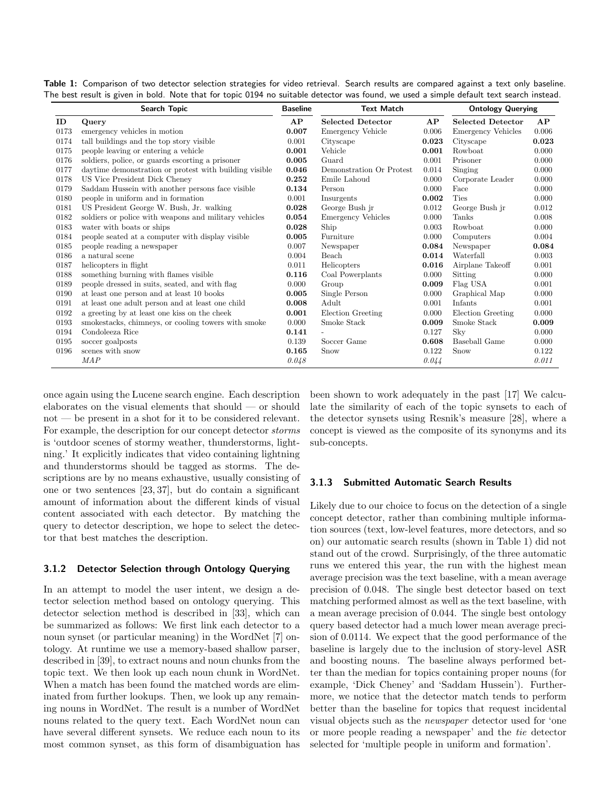|      | <b>Search Topic</b>                                    | <b>Baseline</b> | <b>Text Match</b>         |       | <b>Ontology Querying</b>  |       |
|------|--------------------------------------------------------|-----------------|---------------------------|-------|---------------------------|-------|
| ID   | Query                                                  | AP              | <b>Selected Detector</b>  | AP    | <b>Selected Detector</b>  | AP    |
| 0173 | emergency vehicles in motion                           | 0.007           | <b>Emergency Vehicle</b>  | 0.006 | <b>Emergency Vehicles</b> | 0.006 |
| 0174 | tall buildings and the top story visible               | 0.001           | Cityscape                 | 0.023 | Cityscape                 | 0.023 |
| 0175 | people leaving or entering a vehicle                   | 0.001           | Vehicle                   | 0.001 | Rowboat                   | 0.000 |
| 0176 | soldiers, police, or guards escorting a prisoner       | 0.005           | Guard                     | 0.001 | Prisoner                  | 0.000 |
| 0177 | daytime demonstration or protest with building visible | 0.046           | Demonstration Or Protest  | 0.014 | Singing                   | 0.000 |
| 0178 | US Vice President Dick Cheney                          | 0.252           | Emile Lahoud              | 0.000 | Corporate Leader          | 0.000 |
| 0179 | Saddam Hussein with another persons face visible       | 0.134           | Person                    | 0.000 | Face                      | 0.000 |
| 0180 | people in uniform and in formation                     | 0.001           | Insurgents                | 0.002 | <b>Ties</b>               | 0.000 |
| 0181 | US President George W. Bush, Jr. walking               | 0.028           | George Bush jr            | 0.012 | George Bush jr            | 0.012 |
| 0182 | soldiers or police with weapons and military vehicles  | 0.054           | <b>Emergency Vehicles</b> | 0.000 | Tanks                     | 0.008 |
| 0183 | water with boats or ships                              | 0.028           | Ship                      | 0.003 | Rowboat                   | 0.000 |
| 0184 | people seated at a computer with display visible       | 0.005           | Furniture                 | 0.000 | Computers                 | 0.004 |
| 0185 | people reading a newspaper                             | 0.007           | Newspaper                 | 0.084 | Newspaper                 | 0.084 |
| 0186 | a natural scene                                        | 0.004           | Beach                     | 0.014 | Waterfall                 | 0.003 |
| 0187 | helicopters in flight                                  | 0.011           | Helicopters               | 0.016 | Airplane Takeoff          | 0.001 |
| 0188 | something burning with flames visible                  | 0.116           | Coal Powerplants          | 0.000 | Sitting                   | 0.000 |
| 0189 | people dressed in suits, seated, and with flag         | 0.000           | Group                     | 0.009 | Flag USA                  | 0.001 |
| 0190 | at least one person and at least 10 books              | 0.005           | Single Person             | 0.000 | Graphical Map             | 0.000 |
| 0191 | at least one adult person and at least one child       | 0.008           | Adult                     | 0.001 | Infants                   | 0.001 |
| 0192 | a greeting by at least one kiss on the cheek           | 0.001           | Election Greeting         | 0.000 | Election Greeting         | 0.000 |
| 0193 | smokestacks, chimneys, or cooling towers with smoke    | 0.000           | Smoke Stack               | 0.009 | Smoke Stack               | 0.009 |
| 0194 | Condoleeza Rice                                        | 0.141           |                           | 0.127 | Sky                       | 0.000 |
| 0195 | soccer goalposts                                       | 0.139           | Soccer Game               | 0.608 | <b>Baseball Game</b>      | 0.000 |
| 0196 | scenes with snow                                       | 0.165           | Snow                      | 0.122 | Snow                      | 0.122 |
|      | MAP                                                    | 0.048           |                           | 0.044 |                           | 0.011 |

Table 1: Comparison of two detector selection strategies for video retrieval. Search results are compared against a text only baseline. The best result is given in bold. Note that for topic 0194 no suitable detector was found, we used a simple default text search instead.

once again using the Lucene search engine. Each description elaborates on the visual elements that should — or should not — be present in a shot for it to be considered relevant. For example, the description for our concept detector storms is 'outdoor scenes of stormy weather, thunderstorms, lightning.' It explicitly indicates that video containing lightning and thunderstorms should be tagged as storms. The descriptions are by no means exhaustive, usually consisting of one or two sentences [23, 37], but do contain a significant amount of information about the different kinds of visual content associated with each detector. By matching the query to detector description, we hope to select the detector that best matches the description.

#### 3.1.2 Detector Selection through Ontology Querying

In an attempt to model the user intent, we design a detector selection method based on ontology querying. This detector selection method is described in [33], which can be summarized as follows: We first link each detector to a noun synset (or particular meaning) in the WordNet [7] ontology. At runtime we use a memory-based shallow parser, described in [39], to extract nouns and noun chunks from the topic text. We then look up each noun chunk in WordNet. When a match has been found the matched words are eliminated from further lookups. Then, we look up any remaining nouns in WordNet. The result is a number of WordNet nouns related to the query text. Each WordNet noun can have several different synsets. We reduce each noun to its most common synset, as this form of disambiguation has

been shown to work adequately in the past [17] We calculate the similarity of each of the topic synsets to each of the detector synsets using Resnik's measure [28], where a concept is viewed as the composite of its synonyms and its sub-concepts.

#### 3.1.3 Submitted Automatic Search Results

Likely due to our choice to focus on the detection of a single concept detector, rather than combining multiple information sources (text, low-level features, more detectors, and so on) our automatic search results (shown in Table 1) did not stand out of the crowd. Surprisingly, of the three automatic runs we entered this year, the run with the highest mean average precision was the text baseline, with a mean average precision of 0.048. The single best detector based on text matching performed almost as well as the text baseline, with a mean average precision of 0.044. The single best ontology query based detector had a much lower mean average precision of 0.0114. We expect that the good performance of the baseline is largely due to the inclusion of story-level ASR and boosting nouns. The baseline always performed better than the median for topics containing proper nouns (for example, 'Dick Cheney' and 'Saddam Hussein'). Furthermore, we notice that the detector match tends to perform better than the baseline for topics that request incidental visual objects such as the newspaper detector used for 'one or more people reading a newspaper' and the tie detector selected for 'multiple people in uniform and formation'.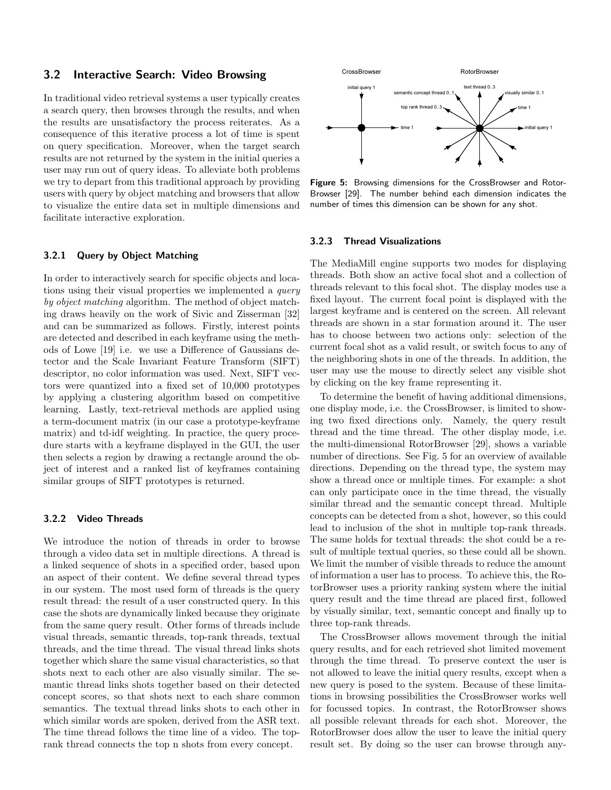### 3.2 Interactive Search: Video Browsing

In traditional video retrieval systems a user typically creates a search query, then browses through the results, and when the results are unsatisfactory the process reiterates. As a consequence of this iterative process a lot of time is spent on query specification. Moreover, when the target search results are not returned by the system in the initial queries a user may run out of query ideas. To alleviate both problems we try to depart from this traditional approach by providing users with query by object matching and browsers that allow to visualize the entire data set in multiple dimensions and facilitate interactive exploration.

#### 3.2.1 Query by Object Matching

In order to interactively search for specific objects and locations using their visual properties we implemented a query by object matching algorithm. The method of object matching draws heavily on the work of Sivic and Zisserman [32] and can be summarized as follows. Firstly, interest points are detected and described in each keyframe using the methods of Lowe [19] i.e. we use a Difference of Gaussians detector and the Scale Invariant Feature Transform (SIFT) descriptor, no color information was used. Next, SIFT vectors were quantized into a fixed set of 10,000 prototypes by applying a clustering algorithm based on competitive learning. Lastly, text-retrieval methods are applied using a term-document matrix (in our case a prototype-keyframe matrix) and td-idf weighting. In practice, the query procedure starts with a keyframe displayed in the GUI, the user then selects a region by drawing a rectangle around the object of interest and a ranked list of keyframes containing similar groups of SIFT prototypes is returned.

#### 3.2.2 Video Threads

We introduce the notion of threads in order to browse through a video data set in multiple directions. A thread is a linked sequence of shots in a specified order, based upon an aspect of their content. We define several thread types in our system. The most used form of threads is the query result thread: the result of a user constructed query. In this case the shots are dynamically linked because they originate from the same query result. Other forms of threads include visual threads, semantic threads, top-rank threads, textual threads, and the time thread. The visual thread links shots together which share the same visual characteristics, so that shots next to each other are also visually similar. The semantic thread links shots together based on their detected concept scores, so that shots next to each share common semantics. The textual thread links shots to each other in which similar words are spoken, derived from the ASR text. The time thread follows the time line of a video. The toprank thread connects the top n shots from every concept.



Figure 5: Browsing dimensions for the CrossBrowser and Rotor-Browser [29]. The number behind each dimension indicates the number of times this dimension can be shown for any shot.

#### 3.2.3 Thread Visualizations

The MediaMill engine supports two modes for displaying threads. Both show an active focal shot and a collection of threads relevant to this focal shot. The display modes use a fixed layout. The current focal point is displayed with the largest keyframe and is centered on the screen. All relevant threads are shown in a star formation around it. The user has to choose between two actions only: selection of the current focal shot as a valid result, or switch focus to any of the neighboring shots in one of the threads. In addition, the user may use the mouse to directly select any visible shot by clicking on the key frame representing it.

To determine the benefit of having additional dimensions, one display mode, i.e. the CrossBrowser, is limited to showing two fixed directions only. Namely, the query result thread and the time thread. The other display mode, i.e. the multi-dimensional RotorBrowser [29], shows a variable number of directions. See Fig. 5 for an overview of available directions. Depending on the thread type, the system may show a thread once or multiple times. For example: a shot can only participate once in the time thread, the visually similar thread and the semantic concept thread. Multiple concepts can be detected from a shot, however, so this could lead to inclusion of the shot in multiple top-rank threads. The same holds for textual threads: the shot could be a result of multiple textual queries, so these could all be shown. We limit the number of visible threads to reduce the amount of information a user has to process. To achieve this, the RotorBrowser uses a priority ranking system where the initial query result and the time thread are placed first, followed by visually similar, text, semantic concept and finally up to three top-rank threads.

The CrossBrowser allows movement through the initial query results, and for each retrieved shot limited movement through the time thread. To preserve context the user is not allowed to leave the initial query results, except when a new query is posed to the system. Because of these limitations in browsing possibilities the CrossBrowser works well for focussed topics. In contrast, the RotorBrowser shows all possible relevant threads for each shot. Moreover, the RotorBrowser does allow the user to leave the initial query result set. By doing so the user can browse through any-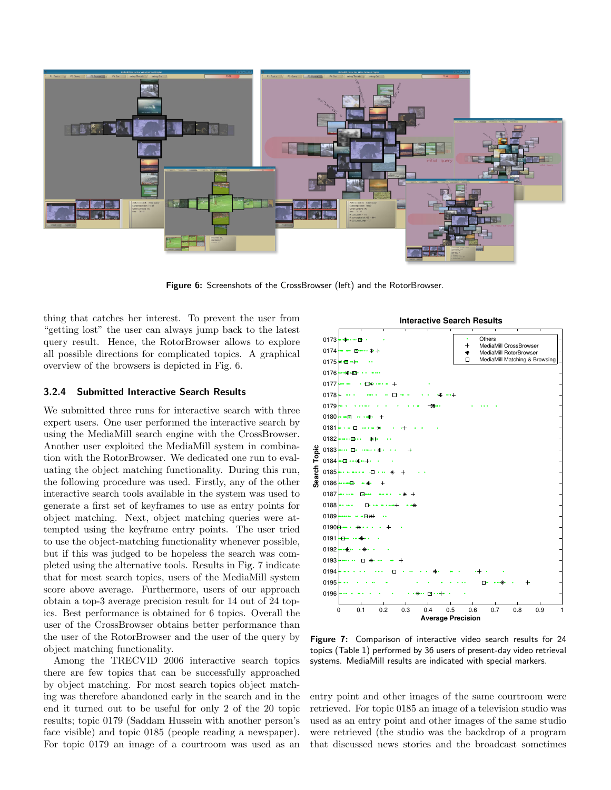

Figure 6: Screenshots of the CrossBrowser (left) and the RotorBrowser.

thing that catches her interest. To prevent the user from "getting lost" the user can always jump back to the latest query result. Hence, the RotorBrowser allows to explore all possible directions for complicated topics. A graphical overview of the browsers is depicted in Fig. 6.

#### 3.2.4 Submitted Interactive Search Results

We submitted three runs for interactive search with three expert users. One user performed the interactive search by using the MediaMill search engine with the CrossBrowser. Another user exploited the MediaMill system in combination with the RotorBrowser. We dedicated one run to evaluating the object matching functionality. During this run, the following procedure was used. Firstly, any of the other interactive search tools available in the system was used to generate a first set of keyframes to use as entry points for object matching. Next, object matching queries were attempted using the keyframe entry points. The user tried to use the object-matching functionality whenever possible, but if this was judged to be hopeless the search was completed using the alternative tools. Results in Fig. 7 indicate that for most search topics, users of the MediaMill system score above average. Furthermore, users of our approach obtain a top-3 average precision result for 14 out of 24 topics. Best performance is obtained for 6 topics. Overall the user of the CrossBrowser obtains better performance than the user of the RotorBrowser and the user of the query by object matching functionality.

Among the TRECVID 2006 interactive search topics there are few topics that can be successfully approached by object matching. For most search topics object matching was therefore abandoned early in the search and in the end it turned out to be useful for only 2 of the 20 topic results; topic 0179 (Saddam Hussein with another person's face visible) and topic 0185 (people reading a newspaper). For topic 0179 an image of a courtroom was used as an



Figure 7: Comparison of interactive video search results for 24 topics (Table 1) performed by 36 users of present-day video retrieval systems. MediaMill results are indicated with special markers.

entry point and other images of the same courtroom were retrieved. For topic 0185 an image of a television studio was used as an entry point and other images of the same studio were retrieved (the studio was the backdrop of a program that discussed news stories and the broadcast sometimes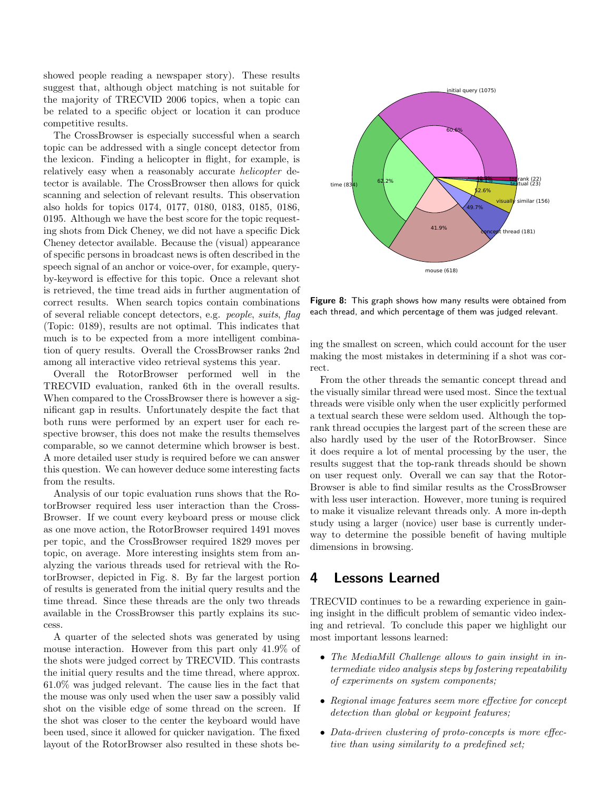showed people reading a newspaper story). These results suggest that, although object matching is not suitable for the majority of TRECVID 2006 topics, when a topic can be related to a specific object or location it can produce competitive results.

The CrossBrowser is especially successful when a search topic can be addressed with a single concept detector from the lexicon. Finding a helicopter in flight, for example, is relatively easy when a reasonably accurate *helicopter* detector is available. The CrossBrowser then allows for quick scanning and selection of relevant results. This observation also holds for topics 0174, 0177, 0180, 0183, 0185, 0186, 0195. Although we have the best score for the topic requesting shots from Dick Cheney, we did not have a specific Dick Cheney detector available. Because the (visual) appearance of specific persons in broadcast news is often described in the speech signal of an anchor or voice-over, for example, queryby-keyword is effective for this topic. Once a relevant shot is retrieved, the time tread aids in further augmentation of correct results. When search topics contain combinations of several reliable concept detectors, e.g. people, suits, flag (Topic: 0189), results are not optimal. This indicates that much is to be expected from a more intelligent combination of query results. Overall the CrossBrowser ranks 2nd among all interactive video retrieval systems this year.

Overall the RotorBrowser performed well in the TRECVID evaluation, ranked 6th in the overall results. When compared to the CrossBrowser there is however a significant gap in results. Unfortunately despite the fact that both runs were performed by an expert user for each respective browser, this does not make the results themselves comparable, so we cannot determine which browser is best. A more detailed user study is required before we can answer this question. We can however deduce some interesting facts from the results.

Analysis of our topic evaluation runs shows that the RotorBrowser required less user interaction than the Cross-Browser. If we count every keyboard press or mouse click as one move action, the RotorBrowser required 1491 moves per topic, and the CrossBrowser required 1829 moves per topic, on average. More interesting insights stem from analyzing the various threads used for retrieval with the RotorBrowser, depicted in Fig. 8. By far the largest portion of results is generated from the initial query results and the time thread. Since these threads are the only two threads available in the CrossBrowser this partly explains its success.

A quarter of the selected shots was generated by using mouse interaction. However from this part only 41.9% of the shots were judged correct by TRECVID. This contrasts the initial query results and the time thread, where approx. 61.0% was judged relevant. The cause lies in the fact that the mouse was only used when the user saw a possibly valid shot on the visible edge of some thread on the screen. If the shot was closer to the center the keyboard would have been used, since it allowed for quicker navigation. The fixed layout of the RotorBrowser also resulted in these shots be-



Figure 8: This graph shows how many results were obtained from each thread, and which percentage of them was judged relevant.

ing the smallest on screen, which could account for the user making the most mistakes in determining if a shot was correct.

From the other threads the semantic concept thread and the visually similar thread were used most. Since the textual threads were visible only when the user explicitly performed a textual search these were seldom used. Although the toprank thread occupies the largest part of the screen these are also hardly used by the user of the RotorBrowser. Since it does require a lot of mental processing by the user, the results suggest that the top-rank threads should be shown on user request only. Overall we can say that the Rotor-Browser is able to find similar results as the CrossBrowser with less user interaction. However, more tuning is required to make it visualize relevant threads only. A more in-depth study using a larger (novice) user base is currently underway to determine the possible benefit of having multiple dimensions in browsing.

## 4 Lessons Learned

TRECVID continues to be a rewarding experience in gaining insight in the difficult problem of semantic video indexing and retrieval. To conclude this paper we highlight our most important lessons learned:

- The MediaMill Challenge allows to gain insight in intermediate video analysis steps by fostering repeatability of experiments on system components;
- Regional image features seem more effective for concept detection than global or keypoint features;
- Data-driven clustering of proto-concepts is more effective than using similarity to a predefined set;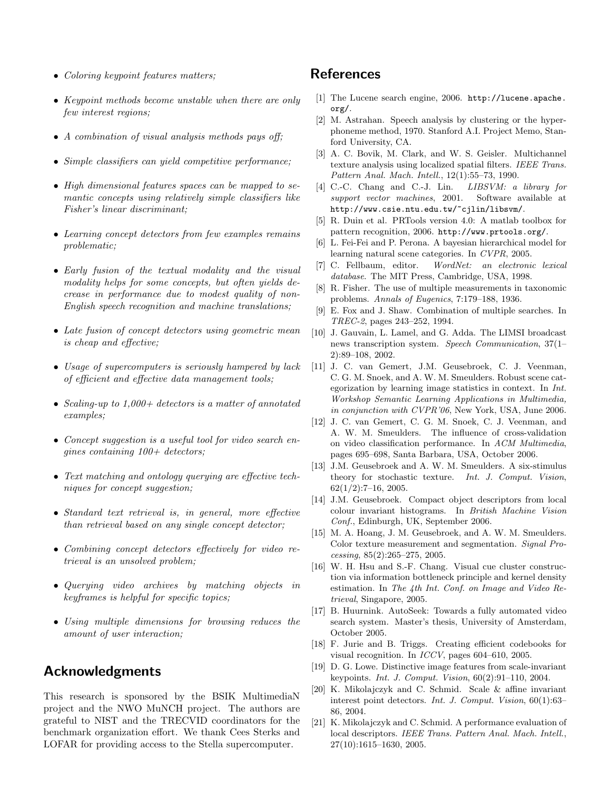- Coloring keypoint features matters;
- Keypoint methods become unstable when there are only few interest regions;
- A combination of visual analysis methods pays off;
- Simple classifiers can yield competitive performance;
- High dimensional features spaces can be mapped to semantic concepts using relatively simple classifiers like Fisher's linear discriminant;
- Learning concept detectors from few examples remains problematic;
- Early fusion of the textual modality and the visual modality helps for some concepts, but often yields decrease in performance due to modest quality of non-English speech recognition and machine translations;
- Late fusion of concept detectors using geometric mean is cheap and effective;
- Usage of supercomputers is seriously hampered by lack of efficient and effective data management tools;
- Scaling-up to 1,000+ detectors is a matter of annotated examples;
- Concept suggestion is a useful tool for video search engines containing  $100+$  detectors;
- Text matching and ontology querying are effective techniques for concept suggestion;
- Standard text retrieval is, in general, more effective than retrieval based on any single concept detector;
- Combining concept detectors effectively for video retrieval is an unsolved problem;
- Querying video archives by matching objects in keyframes is helpful for specific topics;
- Using multiple dimensions for browsing reduces the amount of user interaction;

## Acknowledgments

This research is sponsored by the BSIK MultimediaN project and the NWO MuNCH project. The authors are grateful to NIST and the TRECVID coordinators for the benchmark organization effort. We thank Cees Sterks and LOFAR for providing access to the Stella supercomputer.

## References

- [1] The Lucene search engine, 2006. http://lucene.apache. org/.
- [2] M. Astrahan. Speech analysis by clustering or the hyperphoneme method, 1970. Stanford A.I. Project Memo, Stanford University, CA.
- [3] A. C. Bovik, M. Clark, and W. S. Geisler. Multichannel texture analysis using localized spatial filters. IEEE Trans. Pattern Anal. Mach. Intell., 12(1):55–73, 1990.
- [4] C.-C. Chang and C.-J. Lin. *LIBSVM: a library for* support vector machines, 2001. Software available at http://www.csie.ntu.edu.tw/~cjlin/libsvm/.
- [5] R. Duin et al. PRTools version 4.0: A matlab toolbox for pattern recognition, 2006. http://www.prtools.org/.
- [6] L. Fei-Fei and P. Perona. A bayesian hierarchical model for learning natural scene categories. In CVPR, 2005.
- [7] C. Fellbaum, editor. WordNet: an electronic lexical database. The MIT Press, Cambridge, USA, 1998.
- [8] R. Fisher. The use of multiple measurements in taxonomic problems. Annals of Eugenics, 7:179–188, 1936.
- [9] E. Fox and J. Shaw. Combination of multiple searches. In TREC-2, pages 243–252, 1994.
- [10] J. Gauvain, L. Lamel, and G. Adda. The LIMSI broadcast news transcription system. Speech Communication, 37(1– 2):89–108, 2002.
- [11] J. C. van Gemert, J.M. Geusebroek, C. J. Veenman, C. G. M. Snoek, and A. W. M. Smeulders. Robust scene categorization by learning image statistics in context. In Int. Workshop Semantic Learning Applications in Multimedia, in conjunction with CVPR'06, New York, USA, June 2006.
- [12] J. C. van Gemert, C. G. M. Snoek, C. J. Veenman, and A. W. M. Smeulders. The influence of cross-validation on video classification performance. In ACM Multimedia, pages 695–698, Santa Barbara, USA, October 2006.
- [13] J.M. Geusebroek and A. W. M. Smeulders. A six-stimulus theory for stochastic texture. Int. J. Comput. Vision, 62(1/2):7–16, 2005.
- [14] J.M. Geusebroek. Compact object descriptors from local colour invariant histograms. In British Machine Vision Conf., Edinburgh, UK, September 2006.
- [15] M. A. Hoang, J. M. Geusebroek, and A. W. M. Smeulders. Color texture measurement and segmentation. Signal Processing, 85(2):265–275, 2005.
- [16] W. H. Hsu and S.-F. Chang. Visual cue cluster construction via information bottleneck principle and kernel density estimation. In The 4th Int. Conf. on Image and Video Retrieval, Singapore, 2005.
- [17] B. Huurnink. AutoSeek: Towards a fully automated video search system. Master's thesis, University of Amsterdam, October 2005.
- [18] F. Jurie and B. Triggs. Creating efficient codebooks for visual recognition. In ICCV, pages 604–610, 2005.
- [19] D. G. Lowe. Distinctive image features from scale-invariant keypoints. Int. J. Comput. Vision, 60(2):91–110, 2004.
- [20] K. Mikolajczyk and C. Schmid. Scale & affine invariant interest point detectors. Int. J. Comput. Vision, 60(1):63– 86, 2004.
- [21] K. Mikolajczyk and C. Schmid. A performance evaluation of local descriptors. IEEE Trans. Pattern Anal. Mach. Intell., 27(10):1615–1630, 2005.